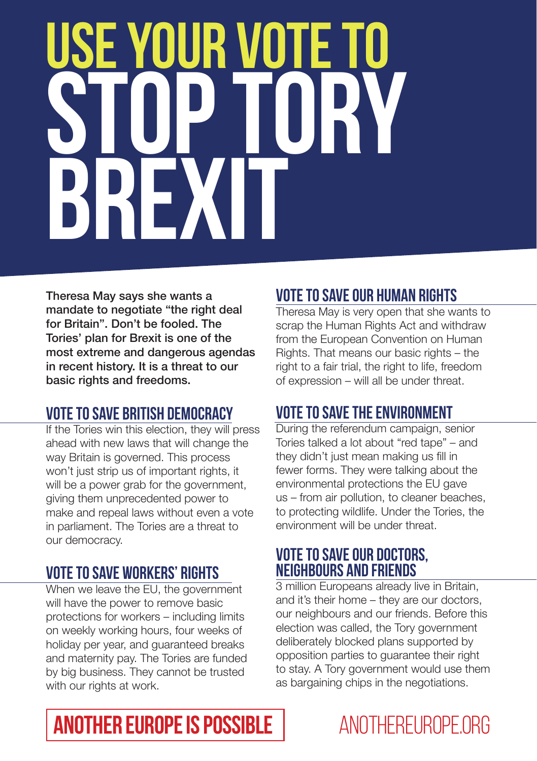# **YOUR V STOP TORY BREXIT**

Theresa May says she wants a mandate to negotiate "the right deal for Britain". Don't be fooled. The Tories' plan for Brexit is one of the most extreme and dangerous agendas in recent history. It is a threat to our basic rights and freedoms.

# **Vote to save British democracy**

If the Tories win this election, they will press ahead with new laws that will change the way Britain is governed. This process won't just strip us of important rights, it will be a power grab for the government, giving them unprecedented power to make and repeal laws without even a vote in parliament. The Tories are a threat to our democracy.

# **Vote to save workers' rights**

When we leave the EU, the government will have the power to remove basic protections for workers – including limits on weekly working hours, four weeks of holiday per year, and guaranteed breaks and maternity pay. The Tories are funded by big business. They cannot be trusted with our rights at work.

# **Vote to save our human rights**

Theresa May is very open that she wants to scrap the Human Rights Act and withdraw from the European Convention on Human Rights. That means our basic rights – the right to a fair trial, the right to life, freedom of expression – will all be under threat.

# **Vote to save the environment**

During the referendum campaign, senior Tories talked a lot about "red tape" – and they didn't just mean making us fill in fewer forms. They were talking about the environmental protections the EU gave us – from air pollution, to cleaner beaches, to protecting wildlife. Under the Tories, the environment will be under threat.

### **Vote to save our doctors, neighbours and friends**

3 million Europeans already live in Britain, and it's their home – they are our doctors, our neighbours and our friends. Before this election was called, the Tory government deliberately blocked plans supported by opposition parties to guarantee their right to stay. A Tory government would use them as bargaining chips in the negotiations.

# **ANOTHER EUROPE IS POSSIBLE ANOTHEREUROPE.ORG**